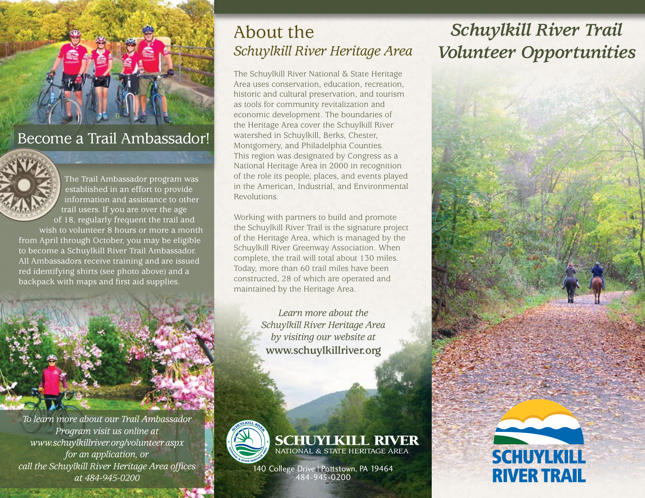

## Become a Trail Ambassador!



The Trail Ambassador program was established in an effort to provide information and assistance to other trail users. If you are over the age of 18, regularly frequent the trail and

wish to volunteer 8 hours or more a month from April through October, you may be eligible to become a Schuylkill River Trail Ambassador. All Ambassadors receive training and are issued red identifying shirts (see photo above) and a backpack with maps and first aid supplies.



*To learn more about our Trail Ambassador Program visit us online at www.schuylkillriver.org/volunteer.aspx for an application, or call the Schuylkill River Heritage Area offices at 484-945-0200*

## About the *Schuylkill River Heritage Area*

The Schuylkill River National & State Heritage Area uses conservation, education, recreation, historic and cultural preservation, and tourism as tools for community revitalization and economic development. The boundaries of the Heritage Area cover the Schuylkill River watershed in Schuylkill, Berks, Chester, Montgomery, and Philadelphia Counties. This region was designated by Congress as a National Heritage Area in 2000 in recognition of the role its people, places, and events played in the American, Industrial, and Environmental Revolutions.

Working with partners to build and promote the Schuylkill River Trail is the signature project of the Heritage Area, which is managed by the Schuylkill River Greenway Association. When complete, the trail will total about 130 miles. Today, more than 60 trail miles have been constructed, 28 of which are operated and maintained by the Heritage Area.

> *Learn more about the Schuylkill River Heritage Area by visiting our website at*  **www.schuylkillriver.org**



**SCHUYLKILL RIVER**<br>NATIONAL & STATE HERITAGE AREA

140 College Drive | Pottstown, PA 19464 484-945-0200

# *Schuylkill River Trail Volunteer Opportunities*